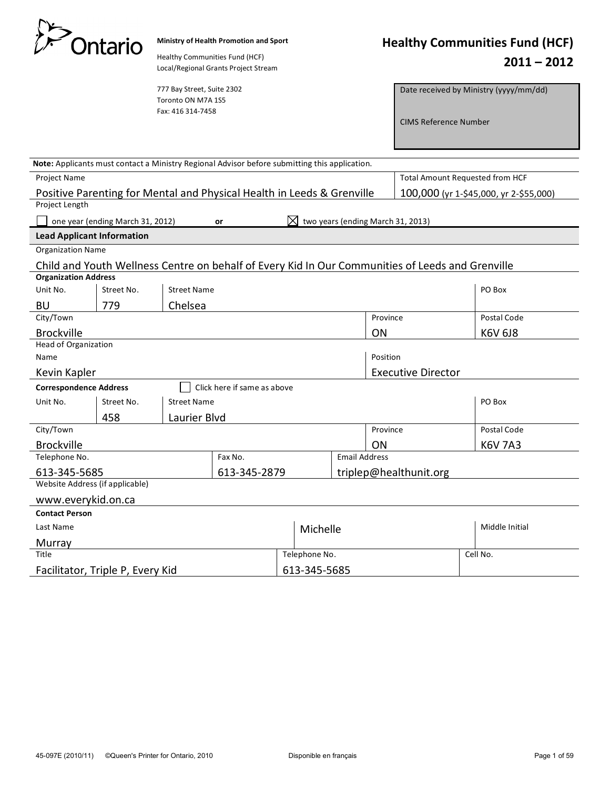|                                                                 | Ontario                          | Healthy Communities Fund (HCF)                                        | Ministry of Health Promotion and Sport<br>Local/Regional Grants Project Stream                |                                                |        |  |                           |                                                                                                  |                | <b>Healthy Communities Fund (HCF)</b><br>$2011 - 2012$ |
|-----------------------------------------------------------------|----------------------------------|-----------------------------------------------------------------------|-----------------------------------------------------------------------------------------------|------------------------------------------------|--------|--|---------------------------|--------------------------------------------------------------------------------------------------|----------------|--------------------------------------------------------|
|                                                                 |                                  | 777 Bay Street, Suite 2302<br>Toronto ON M7A 1S5<br>Fax: 416 314-7458 |                                                                                               |                                                |        |  |                           | <b>CIMS Reference Number</b>                                                                     |                | Date received by Ministry (yyyy/mm/dd)                 |
|                                                                 |                                  |                                                                       | Note: Applicants must contact a Ministry Regional Advisor before submitting this application. |                                                |        |  |                           |                                                                                                  |                |                                                        |
| <b>Project Name</b>                                             |                                  |                                                                       |                                                                                               |                                                |        |  |                           | Total Amount Requested from HCF                                                                  |                |                                                        |
| Project Length                                                  |                                  |                                                                       | Positive Parenting for Mental and Physical Health in Leeds & Grenville                        |                                                |        |  |                           |                                                                                                  |                | 100,000 (yr 1-\$45,000, yr 2-\$55,000)                 |
|                                                                 | one year (ending March 31, 2012) |                                                                       | or                                                                                            |                                                |        |  |                           | two years (ending March 31, 2013)                                                                |                |                                                        |
| <b>Lead Applicant Information</b>                               |                                  |                                                                       |                                                                                               |                                                |        |  |                           |                                                                                                  |                |                                                        |
| <b>Organization Name</b>                                        |                                  |                                                                       |                                                                                               |                                                |        |  |                           |                                                                                                  |                |                                                        |
|                                                                 |                                  |                                                                       |                                                                                               |                                                |        |  |                           | Child and Youth Wellness Centre on behalf of Every Kid In Our Communities of Leeds and Grenville |                |                                                        |
| <b>Organization Address</b><br>Unit No.                         | Street No.                       |                                                                       |                                                                                               |                                                | PO Box |  |                           |                                                                                                  |                |                                                        |
|                                                                 |                                  | <b>Street Name</b>                                                    |                                                                                               |                                                |        |  |                           |                                                                                                  |                |                                                        |
| BU<br>City/Town                                                 | Chelsea<br>779                   |                                                                       |                                                                                               | Province                                       |        |  | Postal Code               |                                                                                                  |                |                                                        |
| <b>Brockville</b>                                               |                                  |                                                                       |                                                                                               |                                                |        |  |                           | ON                                                                                               |                | K6V 6J8                                                |
| Head of Organization                                            |                                  |                                                                       |                                                                                               |                                                |        |  |                           |                                                                                                  |                |                                                        |
| Name                                                            |                                  |                                                                       |                                                                                               |                                                |        |  | Position                  |                                                                                                  |                |                                                        |
| Kevin Kapler                                                    |                                  |                                                                       |                                                                                               |                                                |        |  | <b>Executive Director</b> |                                                                                                  |                |                                                        |
| <b>Correspondence Address</b>                                   |                                  |                                                                       | Click here if same as above                                                                   |                                                |        |  |                           |                                                                                                  |                |                                                        |
| Unit No.                                                        | Street No.                       | <b>Street Name</b>                                                    |                                                                                               |                                                |        |  |                           |                                                                                                  |                | PO Box                                                 |
| 458<br>Laurier Blvd                                             |                                  |                                                                       |                                                                                               |                                                |        |  |                           |                                                                                                  |                |                                                        |
| City/Town                                                       |                                  |                                                                       |                                                                                               |                                                |        |  | Province                  |                                                                                                  |                | Postal Code                                            |
| <b>Brockville</b>                                               |                                  |                                                                       |                                                                                               |                                                | ON     |  | <b>K6V 7A3</b>            |                                                                                                  |                |                                                        |
| Telephone No.<br>Fax No.                                        |                                  |                                                                       |                                                                                               | <b>Email Address</b><br>triplep@healthunit.org |        |  |                           |                                                                                                  |                |                                                        |
| 613-345-2879<br>613-345-5685<br>Website Address (if applicable) |                                  |                                                                       |                                                                                               |                                                |        |  |                           |                                                                                                  |                |                                                        |
| www.everykid.on.ca                                              |                                  |                                                                       |                                                                                               |                                                |        |  |                           |                                                                                                  |                |                                                        |
| <b>Contact Person</b>                                           |                                  |                                                                       |                                                                                               |                                                |        |  |                           |                                                                                                  |                |                                                        |
| Last Name                                                       |                                  |                                                                       |                                                                                               | Michelle                                       |        |  |                           |                                                                                                  | Middle Initial |                                                        |
| Murray                                                          |                                  |                                                                       |                                                                                               |                                                |        |  |                           |                                                                                                  |                |                                                        |
| Title                                                           |                                  |                                                                       |                                                                                               | Telephone No.                                  |        |  |                           | Cell No.                                                                                         |                |                                                        |
| Facilitator, Triple P, Every Kid                                |                                  |                                                                       |                                                                                               | 613-345-5685                                   |        |  |                           |                                                                                                  |                |                                                        |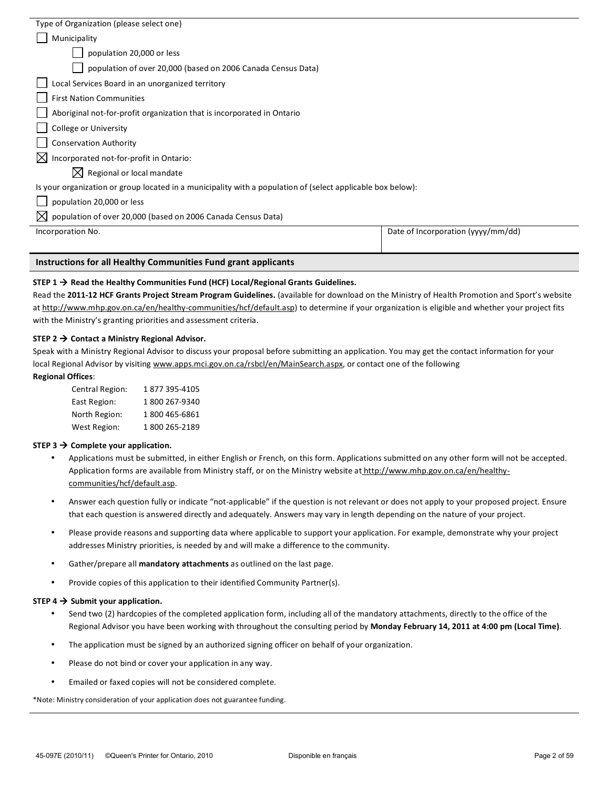| Type of Organization (please select one)                                                                    |                                    |  |  |  |
|-------------------------------------------------------------------------------------------------------------|------------------------------------|--|--|--|
| Municipality                                                                                                |                                    |  |  |  |
| population 20,000 or less                                                                                   |                                    |  |  |  |
| population of over 20,000 (based on 2006 Canada Census Data)                                                |                                    |  |  |  |
| Local Services Board in an unorganized territory                                                            |                                    |  |  |  |
| <b>First Nation Communities</b>                                                                             |                                    |  |  |  |
| Aboriginal not-for-profit organization that is incorporated in Ontario                                      |                                    |  |  |  |
| <b>College or University</b>                                                                                |                                    |  |  |  |
| <b>Conservation Authority</b>                                                                               |                                    |  |  |  |
| $\boxtimes$ Incorporated not-for-profit in Ontario:                                                         |                                    |  |  |  |
| $\boxtimes$ Regional or local mandate                                                                       |                                    |  |  |  |
| Is your organization or group located in a municipality with a population of (select applicable box below): |                                    |  |  |  |
| population 20,000 or less                                                                                   |                                    |  |  |  |
| $\boxtimes$ population of over 20,000 (based on 2006 Canada Census Data)                                    |                                    |  |  |  |
| Incorporation No.                                                                                           | Date of Incorporation (yyyy/mm/dd) |  |  |  |
|                                                                                                             |                                    |  |  |  |

## STEP  $1 \rightarrow$  Read the Healthy Communities Fund (HCF) Local/Regional Grants Guidelines.

Read the 2011-12 HCF Grants Project Stream Program Guidelines. (available for download on the Ministry of Health Promotion and Sport's website at http://www.mhp.gov.on.ca/en/healthy-communities/hcf/default.asp) to determine if your organization is eligible and whether your project fits with the Ministry's granting priorities and assessment criteria.

## **STEP 2**  $\rightarrow$  **Contact a Ministry Regional Advisor.**

Speak with a Ministry Regional Advisor to discuss your proposal before submitting an application. You may get the contact information for your local Regional Advisor by visiting www.apps.mci.gov.on.ca/rsbcl/en/MainSearch.aspx, or contact one of the following

# **Regional Offices:**

| Central Region: | 1877395-4105  |
|-----------------|---------------|
| East Region:    | 1800 267-9340 |
| North Region:   | 1800 465-6861 |
| West Region:    | 1800 265-2189 |

### $STEP$  3  $\rightarrow$  Complete your application.

- Applications must be submitted, in either English or French, on this form. Applications submitted on any other form will not be accepted. Application forms are available from Ministry staff, or on the Ministry website at http://www.mhp.gov.on.ca/en/healthycommunities/hcf/default.asp.
- Answer each question fully or indicate "not-applicable" if the question is not relevant or does not apply to your proposed project. Ensure that each question is answered directly and adequately. Answers may vary in length depending on the nature of your project.
- Please provide reasons and supporting data where applicable to support your application. For example, demonstrate why your project addresses Ministry priorities, is needed by and will make a difference to the community.
- Gather/prepare all **mandatory attachments** as outlined on the last page.
- Provide copies of this application to their identified Community Partner(s).

### **STEP 4**  $\rightarrow$  **Submit your application.**

- Send two (2) hardcopies of the completed application form, including all of the mandatory attachments, directly to the office of the Regional Advisor you have been working with throughout the consulting period by **Monday February 14, 2011 at 4:00 pm (Local Time)**.
- The application must be signed by an authorized signing officer on behalf of your organization.
- Please do not bind or cover your application in any way.
- Emailed or faxed copies will not be considered complete.

\*Note: Ministry consideration of your application does not guarantee funding.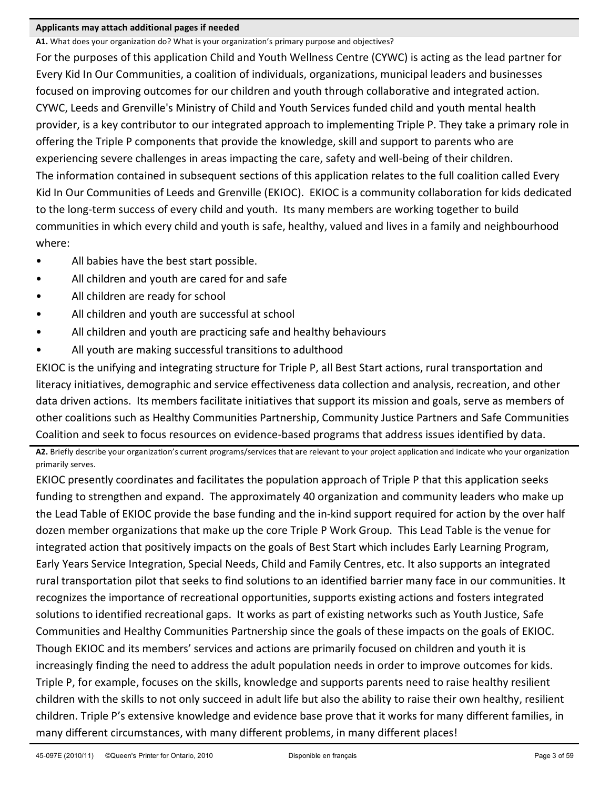# Applicants may attach additional pages if needed

A1. What does your organization do? What is your organization's primary purpose and objectives? For the purposes of this application Child and Youth Wellness Centre (CYWC) is acting as the lead partner for Every Kid In Our Communities, a coalition of individuals, organizations, municipal leaders and businesses focused on improving outcomes for our children and youth through collaborative and integrated action. CYWC, Leeds and Grenville's Ministry of Child and Youth Services funded child and youth mental health provider, is a key contributor to our integrated approach to implementing Triple P. They take a primary role in offering the Triple P components that provide the knowledge, skill and support to parents who are experiencing severe challenges in areas impacting the care, safety and well-being of their children. The information contained in subsequent sections of this application relates to the full coalition called Every Kid In Our Communities of Leeds and Grenville (EKIOC). EKIOC is a community collaboration for kids dedicated to the long-term success of every child and youth. Its many members are working together to build communities in which every child and youth is safe, healthy, valued and lives in a family and neighbourhood where:

- $\bullet$  All babies have the best start possible.
- All children and youth are cared for and safe
- All children are ready for school
- All children and youth are successful at school
- All children and youth are practicing safe and healthy behaviours
- All youth are making successful transitions to adulthood

EKIOC is the unifying and integrating structure for Triple P, all Best Start actions, rural transportation and literacy initiatives, demographic and service effectiveness data collection and analysis, recreation, and other data driven actions. Its members facilitate initiatives that support its mission and goals, serve as members of other coalitions such as Healthy Communities Partnership, Community Justice Partners and Safe Communities Coalition and seek to focus resources on evidence-based programs that address issues identified by data.

A2. Briefly describe your organization's current programs/services that are relevant to your project application and indicate who your organization primarily serves.

EKIOC presently coordinates and facilitates the population approach of Triple P that this application seeks funding to strengthen and expand. The approximately 40 organization and community leaders who make up the Lead Table of EKIOC provide the base funding and the in-kind support required for action by the over half dozen member organizations that make up the core Triple P Work Group. This Lead Table is the venue for integrated action that positively impacts on the goals of Best Start which includes Early Learning Program, Early Years Service Integration, Special Needs, Child and Family Centres, etc. It also supports an integrated rural transportation pilot that seeks to find solutions to an identified barrier many face in our communities. It recognizes the importance of recreational opportunities, supports existing actions and fosters integrated solutions to identified recreational gaps. It works as part of existing networks such as Youth Justice, Safe Communities and Healthy Communities Partnership since the goals of these impacts on the goals of EKIOC. Though EKIOC and its members' services and actions are primarily focused on children and youth it is increasingly finding the need to address the adult population needs in order to improve outcomes for kids. Triple P, for example, focuses on the skills, knowledge and supports parents need to raise healthy resilient children with the skills to not only succeed in adult life but also the ability to raise their own healthy, resilient children. Triple P's extensive knowledge and evidence base prove that it works for many different families, in many different circumstances, with many different problems, in many different places!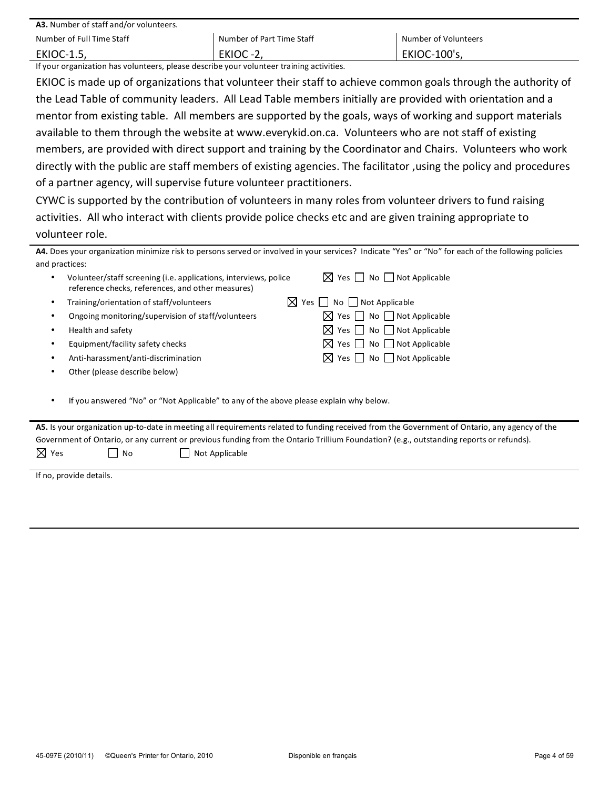| <b>A3.</b> Number of staff and/or volunteers. |                           |                      |  |  |
|-----------------------------------------------|---------------------------|----------------------|--|--|
| Number of Full Time Staff                     | Number of Part Time Staff | Number of Volunteers |  |  |
| <b>EKIOC-1.5,</b>                             | EKIOC-2                   | <b>EKIOC-100's,</b>  |  |  |

If your organization has volunteers, please describe your volunteer training activities.

EKIOC is made up of organizations that volunteer their staff to achieve common goals through the authority of the Lead Table of community leaders. All Lead Table members initially are provided with orientation and a mentor from existing table. All members are supported by the goals, ways of working and support materials available to them through the website at www.everykid.on.ca. Volunteers who are not staff of existing members, are provided with direct support and training by the Coordinator and Chairs. Volunteers who work directly with the public are staff members of existing agencies. The facilitator ,using the policy and procedures of a partner agency, will supervise future volunteer practitioners.

CYWC is supported by the contribution of volunteers in many roles from volunteer drivers to fund raising activities. All who interact with clients provide police checks etc and are given training appropriate to volunteer role.

| and practices: | Volunteer/staff screening (i.e. applications, interviews, police<br>reference checks, references, and other measures) | $\boxtimes$ Yes $\Box$ No $\Box$ Not Applicable |
|----------------|-----------------------------------------------------------------------------------------------------------------------|-------------------------------------------------|
|                | Training/orientation of staff/volunteers                                                                              | $\boxtimes$ Yes $\Box$ No $\Box$ Not Applicable |
|                | Ongoing monitoring/supervision of staff/volunteers                                                                    | $\boxtimes$ Yes $\Box$ No $\Box$ Not Applicable |
|                | Health and safety                                                                                                     | $\boxtimes$ Yes $\Box$ No $\Box$ Not Applicable |
|                | Equipment/facility safety checks                                                                                      | $\boxtimes$ Yes $\Box$ No $\Box$ Not Applicable |
|                | Anti-harassment/anti-discrimination                                                                                   | $\boxtimes$ Yes $\Box$ No $\Box$ Not Applicable |
|                | Other (please describe below)                                                                                         |                                                 |
|                |                                                                                                                       |                                                 |
|                | If you answered "No" or "Not Applicable" to any of the above please explain why below.                                |                                                 |

| A5. Is your organization up-to-date in meeting all requirements related to funding received from the Government of Ontario, any agency of the |      |                                                                                                                                         |  |  |
|-----------------------------------------------------------------------------------------------------------------------------------------------|------|-----------------------------------------------------------------------------------------------------------------------------------------|--|--|
|                                                                                                                                               |      | Government of Ontario, or any current or previous funding from the Ontario Trillium Foundation? (e.g., outstanding reports or refunds). |  |  |
| $\nabla$ Yes                                                                                                                                  | l No | Not Applicable                                                                                                                          |  |  |

If no, provide details.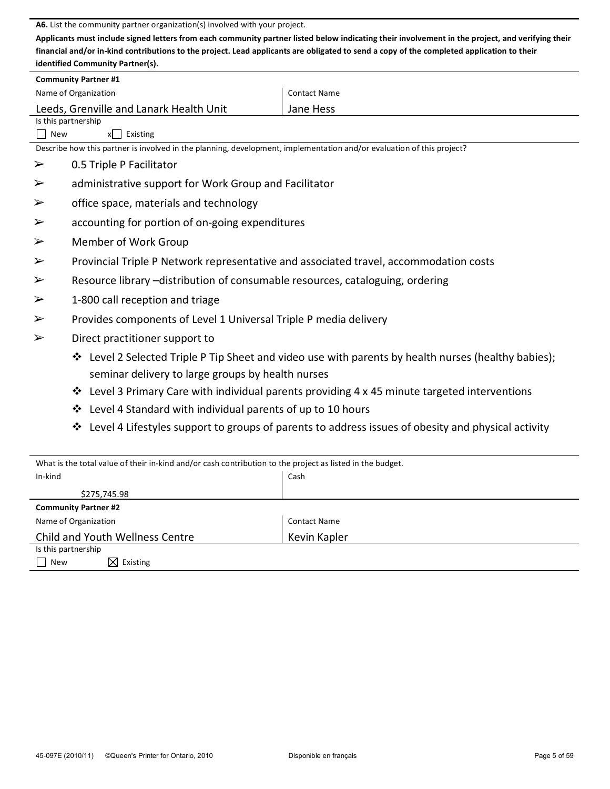A6. List the community partner organization(s) involved with your project.

Applicants must include signed letters from each community partner listed below indicating their involvement in the project, and verifying their financial and/or in-kind contributions to the project. Lead applicants are obligated to send a copy of the completed application to their identified Community Partner(s).

|                                             | <b>Community Partner #1</b>                                                                                           |                                                                                                     |  |  |  |
|---------------------------------------------|-----------------------------------------------------------------------------------------------------------------------|-----------------------------------------------------------------------------------------------------|--|--|--|
| <b>Contact Name</b><br>Name of Organization |                                                                                                                       |                                                                                                     |  |  |  |
|                                             | Leeds, Grenville and Lanark Health Unit<br>Jane Hess                                                                  |                                                                                                     |  |  |  |
|                                             | Is this partnership                                                                                                   |                                                                                                     |  |  |  |
| New                                         | x<br>Existing                                                                                                         |                                                                                                     |  |  |  |
|                                             | Describe how this partner is involved in the planning, development, implementation and/or evaluation of this project? |                                                                                                     |  |  |  |
| ➤                                           | 0.5 Triple P Facilitator                                                                                              |                                                                                                     |  |  |  |
| $\blacktriangleright$                       | administrative support for Work Group and Facilitator                                                                 |                                                                                                     |  |  |  |
| $\blacktriangleright$                       | office space, materials and technology                                                                                |                                                                                                     |  |  |  |
| $\blacktriangleright$                       | accounting for portion of on-going expenditures                                                                       |                                                                                                     |  |  |  |
| $\blacktriangleright$                       | Member of Work Group                                                                                                  |                                                                                                     |  |  |  |
| $\blacktriangleright$                       | Provincial Triple P Network representative and associated travel, accommodation costs                                 |                                                                                                     |  |  |  |
| $\blacktriangleright$                       | Resource library -distribution of consumable resources, cataloguing, ordering                                         |                                                                                                     |  |  |  |
| $\blacktriangleright$                       | 1-800 call reception and triage                                                                                       |                                                                                                     |  |  |  |
| $\blacktriangleright$                       | Provides components of Level 1 Universal Triple P media delivery                                                      |                                                                                                     |  |  |  |
| $\blacktriangleright$                       | Direct practitioner support to                                                                                        |                                                                                                     |  |  |  |
|                                             |                                                                                                                       | ❖ Level 2 Selected Triple P Tip Sheet and video use with parents by health nurses (healthy babies); |  |  |  |
|                                             | seminar delivery to large groups by health nurses                                                                     |                                                                                                     |  |  |  |
|                                             | Level 3 Primary Care with individual parents providing 4 x 45 minute targeted interventions<br>❖                      |                                                                                                     |  |  |  |
|                                             | Level 4 Standard with individual parents of up to 10 hours<br>❖                                                       |                                                                                                     |  |  |  |
|                                             | ❖                                                                                                                     | Level 4 Lifestyles support to groups of parents to address issues of obesity and physical activity  |  |  |  |
|                                             |                                                                                                                       |                                                                                                     |  |  |  |

| What is the total value of their in-kind and/or cash contribution to the project as listed in the budget. |                     |  |  |
|-----------------------------------------------------------------------------------------------------------|---------------------|--|--|
| In-kind                                                                                                   | Cash                |  |  |
| \$275,745.98                                                                                              |                     |  |  |
| <b>Community Partner #2</b>                                                                               |                     |  |  |
| Name of Organization                                                                                      | <b>Contact Name</b> |  |  |
| Child and Youth Wellness Centre                                                                           | Kevin Kapler        |  |  |
| Is this partnership                                                                                       |                     |  |  |
| $\boxtimes$ Existing<br>New                                                                               |                     |  |  |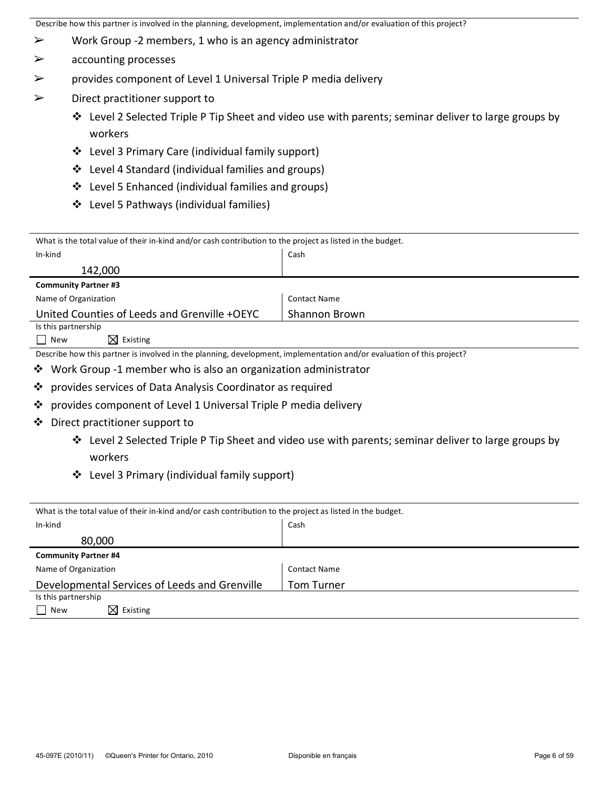- $\triangleright$  Work Group -2 members, 1 who is an agency administrator
- $\triangleright$  accounting processes
- $\triangleright$  provides component of Level 1 Universal Triple P media delivery
- $\triangleright$  Direct practitioner support to
	- $\cdot$  Level 2 Selected Triple P Tip Sheet and video use with parents; seminar deliver to large groups by workers
	- ❖ Level 3 Primary Care (individual family support)
	- ❖ Level 4 Standard (individual families and groups)
	- $\div$  Level 5 Enhanced (individual families and groups)
	- $\div$  Level 5 Pathways (individual families)

| What is the total value of their in-kind and/or cash contribution to the project as listed in the budget.             |                     |  |  |
|-----------------------------------------------------------------------------------------------------------------------|---------------------|--|--|
| In-kind                                                                                                               | Cash                |  |  |
| 142,000                                                                                                               |                     |  |  |
| <b>Community Partner #3</b>                                                                                           |                     |  |  |
| Name of Organization                                                                                                  | <b>Contact Name</b> |  |  |
| United Counties of Leeds and Grenville +OEYC                                                                          | Shannon Brown       |  |  |
| Is this partnership                                                                                                   |                     |  |  |
| $\boxtimes$ Existing<br>New<br>$\blacksquare$                                                                         |                     |  |  |
| Describe how this partner is involved in the planning, development, implementation and/or evaluation of this project? |                     |  |  |
| ❖ Work Group -1 member who is also an organization administrator                                                      |                     |  |  |
| provides services of Data Analysis Coordinator as required<br>$\frac{1}{2}$                                           |                     |  |  |

- $\cdot$  provides component of Level 1 Universal Triple P media delivery
- $\triangleq$  Direct practitioner support to
	- $\cdot$  Level 2 Selected Triple P Tip Sheet and video use with parents; seminar deliver to large groups by workers
	- ❖ Level 3 Primary (individual family support)

| What is the total value of their in-kind and/or cash contribution to the project as listed in the budget. |                     |  |  |
|-----------------------------------------------------------------------------------------------------------|---------------------|--|--|
| In-kind                                                                                                   | Cash                |  |  |
| 80,000                                                                                                    |                     |  |  |
| <b>Community Partner #4</b>                                                                               |                     |  |  |
| Name of Organization                                                                                      | <b>Contact Name</b> |  |  |
| Developmental Services of Leeds and Grenville                                                             | <b>Tom Turner</b>   |  |  |
| Is this partnership                                                                                       |                     |  |  |
| $\boxtimes$ Existing<br>New                                                                               |                     |  |  |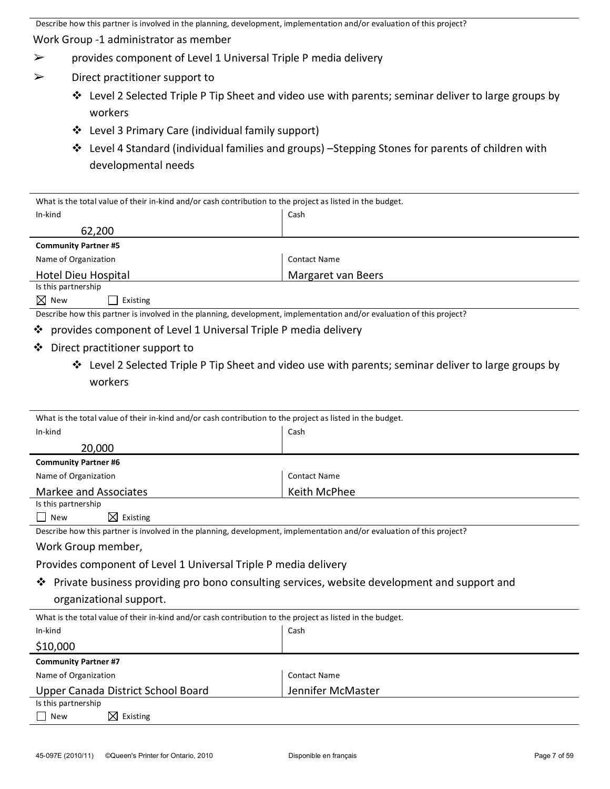Work Group -1 administrator as member

- $\triangleright$  provides component of Level 1 Universal Triple P media delivery
- $\triangleright$  Direct practitioner support to
	- $\cdot$  Level 2 Selected Triple P Tip Sheet and video use with parents; seminar deliver to large groups by workers
	- ❖ Level 3 Primary Care (individual family support)
	- $\cdot$  Level 4 Standard (individual families and groups) –Stepping Stones for parents of children with developmental needs

| What is the total value of their in-kind and/or cash contribution to the project as listed in the budget.             |                     |  |  |
|-----------------------------------------------------------------------------------------------------------------------|---------------------|--|--|
| In-kind                                                                                                               | Cash                |  |  |
| 62,200                                                                                                                |                     |  |  |
| <b>Community Partner #5</b>                                                                                           |                     |  |  |
| Name of Organization                                                                                                  | <b>Contact Name</b> |  |  |
| Hotel Dieu Hospital                                                                                                   | Margaret van Beers  |  |  |
| Is this partnership                                                                                                   |                     |  |  |
| $\boxtimes$ New<br>Existing                                                                                           |                     |  |  |
| Describe how this partner is involved in the planning, development, implementation and/or evaluation of this project? |                     |  |  |

- $\cdot$  provides component of Level 1 Universal Triple P media delivery
- $\triangleq$  Direct practitioner support to
	- $*$  Level 2 Selected Triple P Tip Sheet and video use with parents; seminar deliver to large groups by workers

| What is the total value of their in-kind and/or cash contribution to the project as listed in the budget.             |                     |  |  |
|-----------------------------------------------------------------------------------------------------------------------|---------------------|--|--|
| In-kind                                                                                                               | Cash                |  |  |
| 20,000                                                                                                                |                     |  |  |
| <b>Community Partner #6</b>                                                                                           |                     |  |  |
| Name of Organization                                                                                                  | <b>Contact Name</b> |  |  |
| Markee and Associates                                                                                                 | Keith McPhee        |  |  |
| Is this partnership                                                                                                   |                     |  |  |
| $\boxtimes$ Existing<br><b>New</b><br>$\blacksquare$                                                                  |                     |  |  |
| Describe how this partner is involved in the planning, development, implementation and/or evaluation of this project? |                     |  |  |
| Work Group member,                                                                                                    |                     |  |  |
| Provides component of Level 1 Universal Triple P media delivery                                                       |                     |  |  |
| Private business providing pro bono consulting services, website development and support and<br>❖                     |                     |  |  |
| organizational support.                                                                                               |                     |  |  |
| What is the total value of their in-kind and/or cash contribution to the project as listed in the budget.             |                     |  |  |
| In-kind                                                                                                               | Cash                |  |  |
| \$10,000                                                                                                              |                     |  |  |
| <b>Community Partner #7</b>                                                                                           |                     |  |  |
| Name of Organization                                                                                                  | <b>Contact Name</b> |  |  |
| Jennifer McMaster<br>Upper Canada District School Board                                                               |                     |  |  |
| Is this partnership                                                                                                   |                     |  |  |
| $\boxtimes$ Existing<br><b>New</b>                                                                                    |                     |  |  |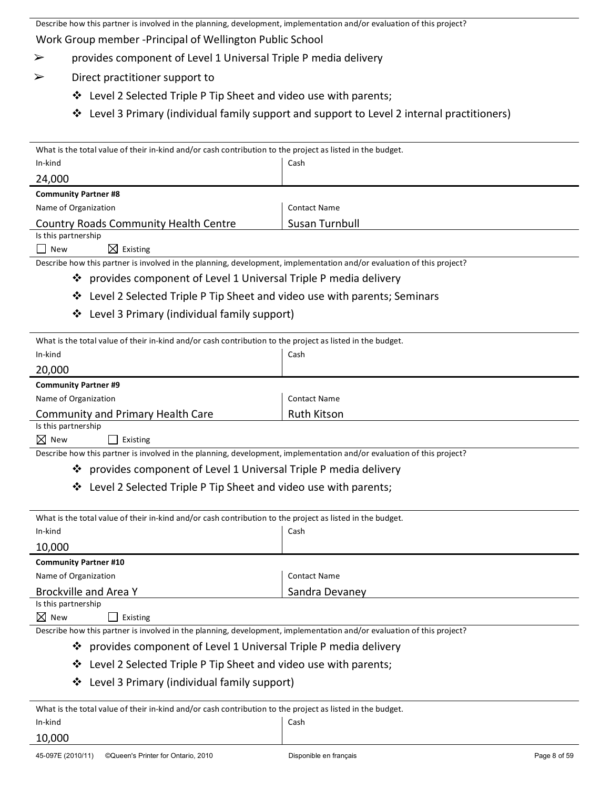Describe how this partner is involved in the planning, development, implementation and/or evaluation of this project? Work Group member - Principal of Wellington Public School

- $\triangleright$  provides component of Level 1 Universal Triple P media delivery
- $\triangleright$  Direct practitioner support to
	- $\cdot$  Level 2 Selected Triple P Tip Sheet and video use with parents;
	- $\div$  Level 3 Primary (individual family support and support to Level 2 internal practitioners)

| What is the total value of their in-kind and/or cash contribution to the project as listed in the budget. |                     |  |
|-----------------------------------------------------------------------------------------------------------|---------------------|--|
| In-kind                                                                                                   | Cash                |  |
| 24,000                                                                                                    |                     |  |
| <b>Community Partner #8</b>                                                                               |                     |  |
| Name of Organization                                                                                      | <b>Contact Name</b> |  |
| <b>Country Roads Community Health Centre</b>                                                              | Susan Turnbull      |  |
| Is this partnership                                                                                       |                     |  |

 $\Box$  New  $\boxtimes$  Existing

Describe how this partner is involved in the planning, development, implementation and/or evaluation of this project?

- $\cdot$  provides component of Level 1 Universal Triple P media delivery
- $\cdot$  Level 2 Selected Triple P Tip Sheet and video use with parents; Seminars
- $\div$  Level 3 Primary (individual family support)

| What is the total value of their in-kind and/or cash contribution to the project as listed in the budget. |                     |  |
|-----------------------------------------------------------------------------------------------------------|---------------------|--|
| Cash<br>In-kind                                                                                           |                     |  |
| 20,000                                                                                                    |                     |  |
| <b>Community Partner #9</b>                                                                               |                     |  |
| Name of Organization                                                                                      | <b>Contact Name</b> |  |
| <b>Community and Primary Health Care</b>                                                                  | <b>Ruth Kitson</b>  |  |
| Is this partnership                                                                                       |                     |  |

 $\boxtimes$  New  $\Box$  Existing

Describe how this partner is involved in the planning, development, implementation and/or evaluation of this project?

# $\cdot$  provides component of Level 1 Universal Triple P media delivery

 $\cdot$  Level 2 Selected Triple P Tip Sheet and video use with parents;

| What is the total value of their in-kind and/or cash contribution to the project as listed in the budget. |                     |  |
|-----------------------------------------------------------------------------------------------------------|---------------------|--|
| In-kind                                                                                                   | Cash                |  |
| 10,000                                                                                                    |                     |  |
| <b>Community Partner #10</b>                                                                              |                     |  |
| Name of Organization                                                                                      | <b>Contact Name</b> |  |
| Brockville and Area Y                                                                                     | Sandra Devaney      |  |
| Is this partnership                                                                                       |                     |  |
|                                                                                                           |                     |  |

 $\boxtimes$  New  $\Box$  Existing

Describe how this partner is involved in the planning, development, implementation and/or evaluation of this project?

- $\cdot$  provides component of Level 1 Universal Triple P media delivery
- $\cdot$  Level 2 Selected Triple P Tip Sheet and video use with parents;
- ❖ Level 3 Primary (individual family support)

What is the total value of their in-kind and/or cash contribution to the project as listed in the budget.

Cash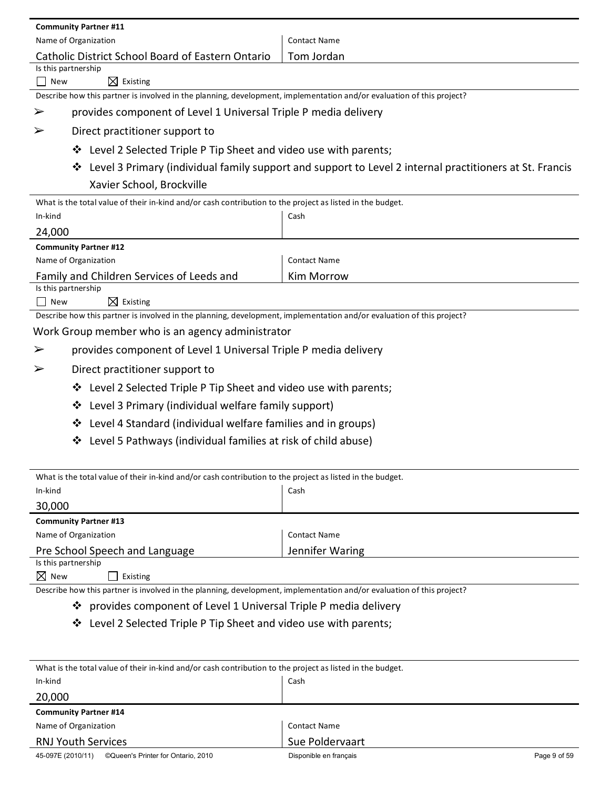| <b>Community Partner #11</b>                                                                                          |                                                                                                         |  |  |
|-----------------------------------------------------------------------------------------------------------------------|---------------------------------------------------------------------------------------------------------|--|--|
| Name of Organization                                                                                                  | <b>Contact Name</b>                                                                                     |  |  |
| Catholic District School Board of Eastern Ontario                                                                     | Tom Jordan                                                                                              |  |  |
| Is this partnership                                                                                                   |                                                                                                         |  |  |
| $\boxtimes$ Existing<br>$\mathbf{1}$<br>New                                                                           |                                                                                                         |  |  |
| Describe how this partner is involved in the planning, development, implementation and/or evaluation of this project? |                                                                                                         |  |  |
| provides component of Level 1 Universal Triple P media delivery<br>➤                                                  |                                                                                                         |  |  |
| Direct practitioner support to<br>➤                                                                                   |                                                                                                         |  |  |
| ❖ Level 2 Selected Triple P Tip Sheet and video use with parents;                                                     |                                                                                                         |  |  |
| ❖                                                                                                                     | Level 3 Primary (individual family support and support to Level 2 internal practitioners at St. Francis |  |  |
| Xavier School, Brockville                                                                                             |                                                                                                         |  |  |
| What is the total value of their in-kind and/or cash contribution to the project as listed in the budget.             |                                                                                                         |  |  |
| In-kind                                                                                                               | Cash                                                                                                    |  |  |
| 24,000                                                                                                                |                                                                                                         |  |  |
| <b>Community Partner #12</b>                                                                                          |                                                                                                         |  |  |
| Name of Organization                                                                                                  | <b>Contact Name</b>                                                                                     |  |  |
| Family and Children Services of Leeds and<br><b>Kim Morrow</b>                                                        |                                                                                                         |  |  |
| Is this partnership<br>$\boxtimes$ Existing<br>$\Box$ New                                                             |                                                                                                         |  |  |
| Describe how this partner is involved in the planning, development, implementation and/or evaluation of this project? |                                                                                                         |  |  |
| Work Group member who is an agency administrator                                                                      |                                                                                                         |  |  |
| provides component of Level 1 Universal Triple P media delivery<br>➤                                                  |                                                                                                         |  |  |
| Direct practitioner support to<br>➤                                                                                   |                                                                                                         |  |  |
| Level 2 Selected Triple P Tip Sheet and video use with parents;<br>❖                                                  |                                                                                                         |  |  |
| Level 3 Primary (individual welfare family support)<br>❖                                                              |                                                                                                         |  |  |
| Level 4 Standard (individual welfare families and in groups)<br>❖                                                     |                                                                                                         |  |  |
| Level 5 Pathways (individual families at risk of child abuse)<br>❖                                                    |                                                                                                         |  |  |
|                                                                                                                       |                                                                                                         |  |  |
| What is the total value of their in-kind and/or cash contribution to the project as listed in the budget.             |                                                                                                         |  |  |
| In-kind                                                                                                               | Cash                                                                                                    |  |  |
| 30,000                                                                                                                |                                                                                                         |  |  |
| <b>Community Partner #13</b>                                                                                          |                                                                                                         |  |  |
| Name of Organization                                                                                                  | <b>Contact Name</b>                                                                                     |  |  |
| Pre School Speech and Language<br>Is this partnership                                                                 | Jennifer Waring                                                                                         |  |  |

 $\boxtimes$  New  $\qquad \qquad \square$  Existing

Describe how this partner is involved in the planning, development, implementation and/or evaluation of this project?

- provides%component%of%Level%1%Universal%Triple%P%media%delivery
- Level%2%Selected%Triple%P%Tip%Sheet%and%video%use%with%parents;%

| What is the total value of their in-kind and/or cash contribution to the project as listed in the budget. |                                        |  |  |
|-----------------------------------------------------------------------------------------------------------|----------------------------------------|--|--|
| In-kind                                                                                                   | Cash                                   |  |  |
| 20,000                                                                                                    |                                        |  |  |
| <b>Community Partner #14</b>                                                                              |                                        |  |  |
| Name of Organization                                                                                      | <b>Contact Name</b>                    |  |  |
| <b>RNJ Youth Services</b>                                                                                 | Sue Poldervaart                        |  |  |
| ©Queen's Printer for Ontario, 2010<br>45-097E (2010/11)                                                   | Disponible en français<br>Page 9 of 59 |  |  |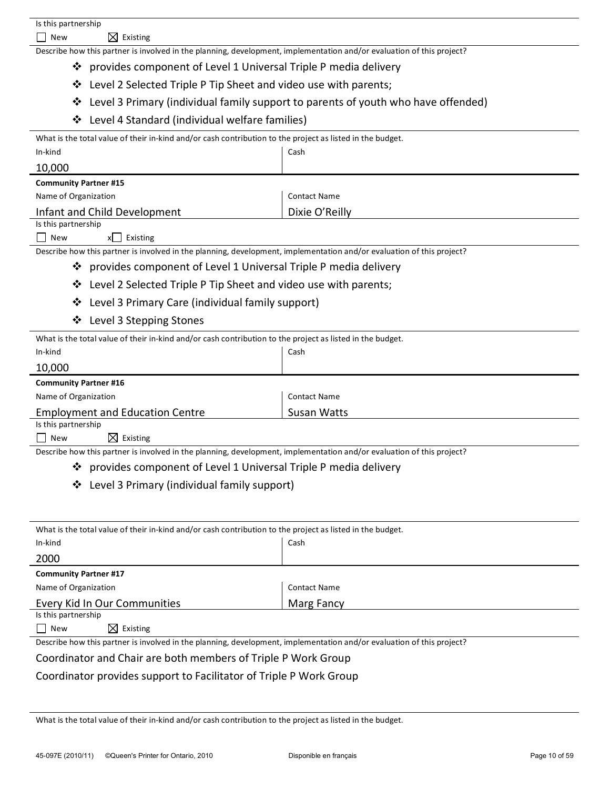| Is this partnership<br>$\boxtimes$ Existing<br>New                                                                    |                                                                                   |  |
|-----------------------------------------------------------------------------------------------------------------------|-----------------------------------------------------------------------------------|--|
| Describe how this partner is involved in the planning, development, implementation and/or evaluation of this project? |                                                                                   |  |
| provides component of Level 1 Universal Triple P media delivery<br>❖                                                  |                                                                                   |  |
| Level 2 Selected Triple P Tip Sheet and video use with parents;<br>❖                                                  |                                                                                   |  |
| ❖                                                                                                                     | Level 3 Primary (individual family support to parents of youth who have offended) |  |
|                                                                                                                       |                                                                                   |  |
| Level 4 Standard (individual welfare families)<br>❖                                                                   |                                                                                   |  |
| What is the total value of their in-kind and/or cash contribution to the project as listed in the budget.             |                                                                                   |  |
| In-kind                                                                                                               | Cash                                                                              |  |
| 10,000<br><b>Community Partner #15</b>                                                                                |                                                                                   |  |
| Name of Organization                                                                                                  | <b>Contact Name</b>                                                               |  |
| Infant and Child Development                                                                                          | Dixie O'Reilly                                                                    |  |
| Is this partnership                                                                                                   |                                                                                   |  |
| Existing<br>New<br>x                                                                                                  |                                                                                   |  |
| Describe how this partner is involved in the planning, development, implementation and/or evaluation of this project? |                                                                                   |  |
| provides component of Level 1 Universal Triple P media delivery<br>❖                                                  |                                                                                   |  |
| Level 2 Selected Triple P Tip Sheet and video use with parents;<br>❖                                                  |                                                                                   |  |
| Level 3 Primary Care (individual family support)<br>❖                                                                 |                                                                                   |  |
| Level 3 Stepping Stones<br>❖                                                                                          |                                                                                   |  |
| What is the total value of their in-kind and/or cash contribution to the project as listed in the budget.             |                                                                                   |  |
| In-kind                                                                                                               | Cash                                                                              |  |
| 10,000                                                                                                                |                                                                                   |  |
| <b>Community Partner #16</b>                                                                                          |                                                                                   |  |
| Name of Organization                                                                                                  | <b>Contact Name</b>                                                               |  |
| <b>Employment and Education Centre</b><br>Is this partnership                                                         | <b>Susan Watts</b>                                                                |  |
| $\boxtimes$ Existing<br>New                                                                                           |                                                                                   |  |
| Describe how this partner is involved in the planning, development, implementation and/or evaluation of this project? |                                                                                   |  |
| provides component of Level 1 Universal Triple P media delivery<br>❖                                                  |                                                                                   |  |
| Level 3 Primary (individual family support)<br>❖                                                                      |                                                                                   |  |
|                                                                                                                       |                                                                                   |  |
|                                                                                                                       |                                                                                   |  |
| What is the total value of their in-kind and/or cash contribution to the project as listed in the budget.             |                                                                                   |  |
| In-kind                                                                                                               | Cash                                                                              |  |
| 2000                                                                                                                  |                                                                                   |  |
| <b>Community Partner #17</b>                                                                                          |                                                                                   |  |
| Name of Organization                                                                                                  | <b>Contact Name</b>                                                               |  |
| Every Kid In Our Communities<br>Is this partnership                                                                   | Marg Fancy                                                                        |  |
| $\boxtimes$ Existing<br>New                                                                                           |                                                                                   |  |
| Describe how this partner is involved in the planning, development, implementation and/or evaluation of this project? |                                                                                   |  |

Coordinator and Chair are both members of Triple P Work Group

Coordinator provides support to Facilitator of Triple P Work Group

What is the total value of their in-kind and/or cash contribution to the project as listed in the budget.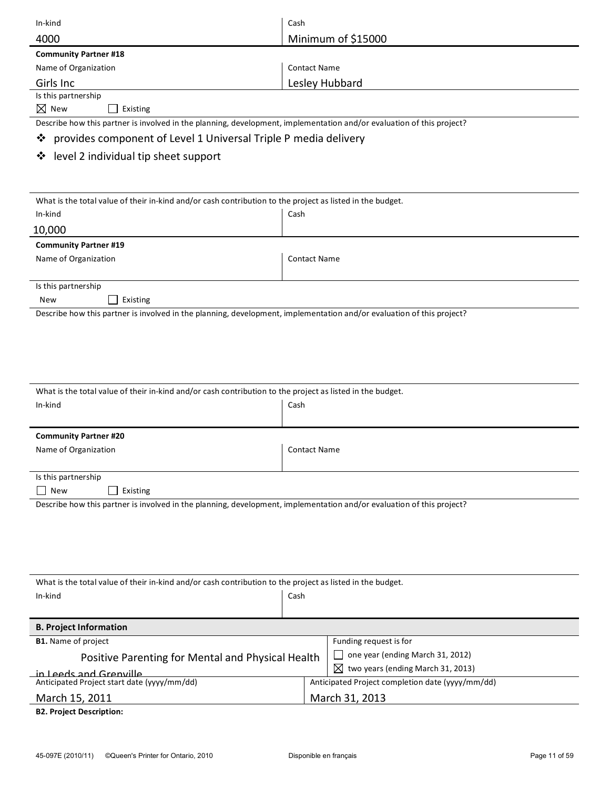| In-kind                                                                                                               | Cash                                             |
|-----------------------------------------------------------------------------------------------------------------------|--------------------------------------------------|
| 4000                                                                                                                  | Minimum of \$15000                               |
| <b>Community Partner #18</b>                                                                                          |                                                  |
| Name of Organization                                                                                                  | <b>Contact Name</b>                              |
| Girls Inc                                                                                                             | Lesley Hubbard                                   |
| Is this partnership                                                                                                   |                                                  |
| $\nabla$ New<br>Existing                                                                                              |                                                  |
| Describe how this partner is involved in the planning, development, implementation and/or evaluation of this project? |                                                  |
| provides component of Level 1 Universal Triple P media delivery<br>❖                                                  |                                                  |
| level 2 individual tip sheet support<br>❖                                                                             |                                                  |
|                                                                                                                       |                                                  |
|                                                                                                                       |                                                  |
| What is the total value of their in-kind and/or cash contribution to the project as listed in the budget.             |                                                  |
| In-kind                                                                                                               | Cash                                             |
| 10,000                                                                                                                |                                                  |
| <b>Community Partner #19</b>                                                                                          |                                                  |
| Name of Organization                                                                                                  | <b>Contact Name</b>                              |
|                                                                                                                       |                                                  |
| Is this partnership<br>Existing<br>New                                                                                |                                                  |
| Describe how this partner is involved in the planning, development, implementation and/or evaluation of this project? |                                                  |
|                                                                                                                       |                                                  |
|                                                                                                                       |                                                  |
|                                                                                                                       |                                                  |
|                                                                                                                       |                                                  |
|                                                                                                                       |                                                  |
| What is the total value of their in-kind and/or cash contribution to the project as listed in the budget.             |                                                  |
| In-kind                                                                                                               | Cash                                             |
|                                                                                                                       |                                                  |
| <b>Community Partner #20</b>                                                                                          |                                                  |
| Name of Organization                                                                                                  | <b>Contact Name</b>                              |
| Is this partnership                                                                                                   |                                                  |
| <b>New</b><br>Existing                                                                                                |                                                  |
| Describe how this partner is involved in the planning, development, implementation and/or evaluation of this project? |                                                  |
|                                                                                                                       |                                                  |
|                                                                                                                       |                                                  |
|                                                                                                                       |                                                  |
|                                                                                                                       |                                                  |
|                                                                                                                       |                                                  |
| What is the total value of their in-kind and/or cash contribution to the project as listed in the budget.             |                                                  |
| In-kind                                                                                                               | Cash                                             |
|                                                                                                                       |                                                  |
| <b>B. Project Information</b>                                                                                         |                                                  |
| <b>B1.</b> Name of project                                                                                            | Funding request is for                           |
| Positive Parenting for Mental and Physical Health                                                                     | one year (ending March 31, 2012)                 |
| in Leeds and Grenville                                                                                                | $\boxtimes$ two years (ending March 31, 2013)    |
| Anticipated Project start date (yyyy/mm/dd)                                                                           | Anticipated Project completion date (yyyy/mm/dd) |
| March 15, 2011                                                                                                        | March 31, 2013                                   |
| <b>B2. Project Description:</b>                                                                                       |                                                  |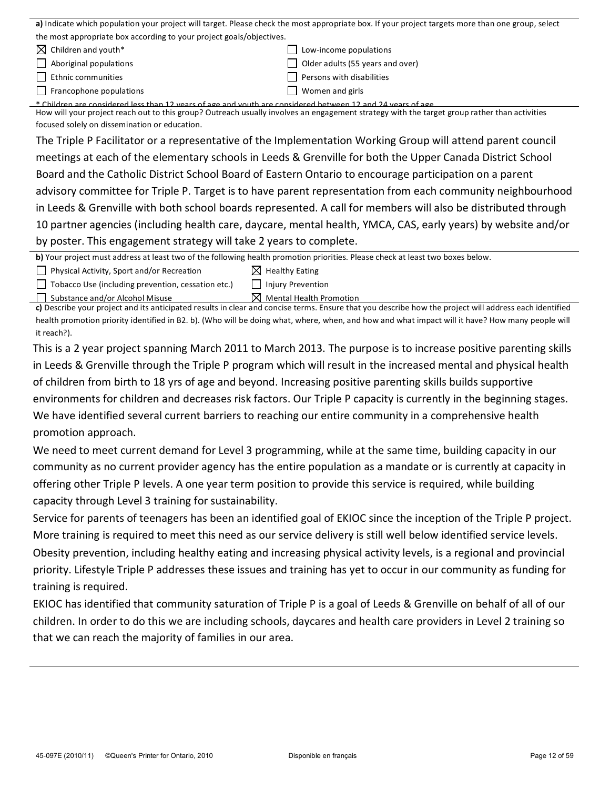| a) Indicate which population your project will target. Please check the most appropriate box. If your project targets more than one group, select |                                           |  |  |  |
|---------------------------------------------------------------------------------------------------------------------------------------------------|-------------------------------------------|--|--|--|
| the most appropriate box according to your project goals/objectives.                                                                              |                                           |  |  |  |
| $\boxtimes$ Children and youth*                                                                                                                   | Low-income populations                    |  |  |  |
| $\vert$ Aboriginal populations                                                                                                                    | Older adults (55 years and over)          |  |  |  |
| Ethnic communities                                                                                                                                | Persons with disabilities<br>$\mathsf{L}$ |  |  |  |
| $\vert \vert$ Francophone populations                                                                                                             | Women and girls                           |  |  |  |
| * Children are considered less than 12 years of age and youth are considered between 12 and 24 years of age                                       |                                           |  |  |  |
| How will your project reach out to this group? Outreach usually involves an engagement strategy with the target group rather than activities      |                                           |  |  |  |
| focused solely on dissemination or education.                                                                                                     |                                           |  |  |  |

The Triple P Facilitator or a representative of the Implementation Working Group will attend parent council meetings at each of the elementary schools in Leeds & Grenville for both the Upper Canada District School Board and the Catholic District School Board of Eastern Ontario to encourage participation on a parent advisory committee for Triple P. Target is to have parent representation from each community neighbourhood in Leeds & Grenville with both school boards represented. A call for members will also be distributed through 10 partner agencies (including health care, daycare, mental health, YMCA, CAS, early years) by website and/or by poster. This engagement strategy will take 2 years to complete.

**b)** Your project must address at least two of the following health promotion priorities. Please check at least two boxes below.

 $\Box$  Physical Activity, Sport and/or Recreation  $\boxtimes$  Healthy Eating

 $\Box$  Tobacco Use (including prevention, cessation etc.)  $\Box$  Injury Prevention

 $\Box$  Substance and/or Alcohol Misuse  $\boxtimes$  Mental Health Promotion

c) Describe your project and its anticipated results in clear and concise terms. Ensure that you describe how the project will address each identified health promotion priority identified in B2. b). (Who will be doing what, where, when, and how and what impact will it have? How many people will it reach?).

This is a 2 year project spanning March 2011 to March 2013. The purpose is to increase positive parenting skills in Leeds & Grenville through the Triple P program which will result in the increased mental and physical health of children from birth to 18 yrs of age and beyond. Increasing positive parenting skills builds supportive environments for children and decreases risk factors. Our Triple P capacity is currently in the beginning stages. We have identified several current barriers to reaching our entire community in a comprehensive health promotion approach.

We need to meet current demand for Level 3 programming, while at the same time, building capacity in our community as no current provider agency has the entire population as a mandate or is currently at capacity in offering other Triple P levels. A one year term position to provide this service is required, while building capacity through Level 3 training for sustainability.

Service for parents of teenagers has been an identified goal of EKIOC since the inception of the Triple P project. More training is required to meet this need as our service delivery is still well below identified service levels.

Obesity prevention, including healthy eating and increasing physical activity levels, is a regional and provincial priority. Lifestyle Triple P addresses these issues and training has yet to occur in our community as funding for training is required.

EKIOC has identified that community saturation of Triple P is a goal of Leeds & Grenville on behalf of all of our children. In order to do this we are including schools, daycares and health care providers in Level 2 training so that we can reach the majority of families in our area.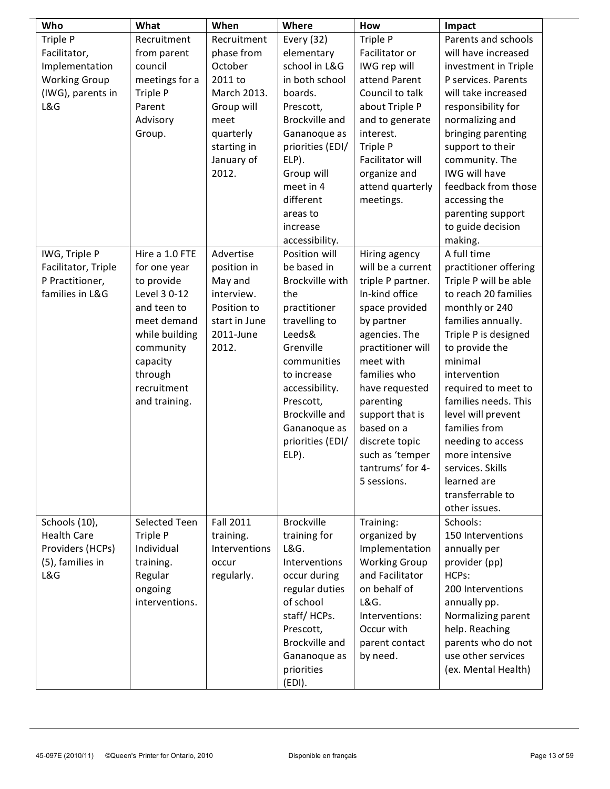| Who                  | What                | When          | Where                       | How                                 | Impact                                      |
|----------------------|---------------------|---------------|-----------------------------|-------------------------------------|---------------------------------------------|
| Triple P             | Recruitment         | Recruitment   | Every $(32)$                | Triple P                            | Parents and schools                         |
| Facilitator,         | from parent         | phase from    | elementary                  | Facilitator or                      | will have increased                         |
| Implementation       | council             | October       | school in L&G               | IWG rep will                        | investment in Triple                        |
| <b>Working Group</b> | meetings for a      | 2011 to       | in both school              | attend Parent                       | P services. Parents                         |
| (IWG), parents in    | Triple P            | March 2013.   | boards.                     | Council to talk                     | will take increased                         |
| L&G                  | Parent              | Group will    | Prescott,                   | about Triple P                      | responsibility for                          |
|                      | Advisory            | meet          | Brockville and              | and to generate                     | normalizing and                             |
|                      | Group.              | quarterly     | Gananoque as                | interest.                           | bringing parenting                          |
|                      |                     | starting in   | priorities (EDI/            | Triple P                            | support to their                            |
|                      |                     | January of    | ELP).                       | Facilitator will                    | community. The                              |
|                      |                     | 2012.         | Group will                  | organize and                        | IWG will have                               |
|                      |                     |               | meet in 4                   | attend quarterly                    | feedback from those                         |
|                      |                     |               | different                   | meetings.                           | accessing the                               |
|                      |                     |               | areas to                    |                                     | parenting support                           |
|                      |                     |               | increase                    |                                     | to guide decision                           |
|                      |                     |               | accessibility.              |                                     | making.                                     |
| IWG, Triple P        | Hire a 1.0 FTE      | Advertise     | Position will               | Hiring agency                       | A full time                                 |
| Facilitator, Triple  | for one year        | position in   | be based in                 | will be a current                   | practitioner offering                       |
| P Practitioner,      | to provide          | May and       | Brockville with             | triple P partner.                   | Triple P will be able                       |
| families in L&G      | Level 3 0-12        | interview.    | the                         | In-kind office                      | to reach 20 families                        |
|                      | and teen to         | Position to   | practitioner                | space provided                      | monthly or 240                              |
|                      | meet demand         | start in June | travelling to               | by partner                          | families annually.                          |
|                      | while building      | 2011-June     | Leeds&                      | agencies. The                       | Triple P is designed                        |
|                      | community           | 2012.         | Grenville                   | practitioner will                   | to provide the                              |
|                      |                     |               | communities                 | meet with                           | minimal                                     |
|                      | capacity<br>through |               | to increase                 | families who                        | intervention                                |
|                      | recruitment         |               |                             |                                     |                                             |
|                      |                     |               | accessibility.              | have requested                      | required to meet to<br>families needs. This |
|                      | and training.       |               | Prescott,<br>Brockville and | parenting<br>support that is        | level will prevent                          |
|                      |                     |               |                             | based on a                          | families from                               |
|                      |                     |               | Gananoque as                |                                     |                                             |
|                      |                     |               | priorities (EDI/            | discrete topic                      | needing to access                           |
|                      |                     |               | ELP).                       | such as 'temper<br>tantrums' for 4- | more intensive                              |
|                      |                     |               |                             |                                     | services. Skills                            |
|                      |                     |               |                             | 5 sessions.                         | learned are                                 |
|                      |                     |               |                             |                                     | transferrable to                            |
|                      |                     |               |                             |                                     | other issues.                               |
| Schools (10),        | Selected Teen       | Fall 2011     | <b>Brockville</b>           | Training:                           | Schools:                                    |
| <b>Health Care</b>   | Triple P            | training.     | training for                | organized by                        | 150 Interventions                           |
| Providers (HCPs)     | Individual          | Interventions | L&G.                        | Implementation                      | annually per                                |
| (5), families in     | training.           | occur         | Interventions               | <b>Working Group</b>                | provider (pp)                               |
| L&G                  | Regular             | regularly.    | occur during                | and Facilitator                     | HCPs:                                       |
|                      | ongoing             |               | regular duties              | on behalf of                        | 200 Interventions                           |
|                      | interventions.      |               | of school                   | L&G.                                | annually pp.                                |
|                      |                     |               | staff/HCPs.                 | Interventions:                      | Normalizing parent                          |
|                      |                     |               | Prescott,                   | Occur with                          | help. Reaching                              |
|                      |                     |               | Brockville and              | parent contact                      | parents who do not                          |
|                      |                     |               | Gananoque as                | by need.                            | use other services                          |
|                      |                     |               | priorities                  |                                     | (ex. Mental Health)                         |
|                      |                     |               | (EDI).                      |                                     |                                             |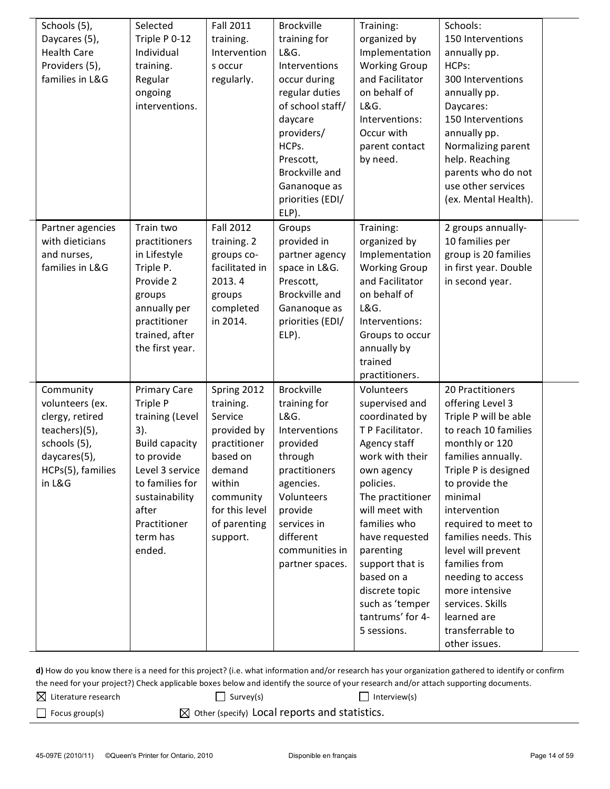| Schools (5),<br>Daycares (5),<br><b>Health Care</b><br>Providers (5),<br>families in L&G                                        | Selected<br>Triple P 0-12<br>Individual<br>training.<br>Regular<br>ongoing<br>interventions.                                                                                                            | <b>Fall 2011</b><br>training.<br>Intervention<br>s occur<br>regularly.                                                                                        | <b>Brockville</b><br>training for<br>L&G.<br>Interventions<br>occur during<br>regular duties<br>of school staff/<br>daycare<br>providers/<br>HCPs.<br>Prescott,<br>Brockville and<br>Gananoque as<br>priorities (EDI/<br>ELP). | Training:<br>organized by<br>Implementation<br><b>Working Group</b><br>and Facilitator<br>on behalf of<br>L&G.<br>Interventions:<br>Occur with<br>parent contact<br>by need.                                                                                                                                                   | Schools:<br>150 Interventions<br>annually pp.<br>HCPs:<br>300 Interventions<br>annually pp.<br>Daycares:<br>150 Interventions<br>annually pp.<br>Normalizing parent<br>help. Reaching<br>parents who do not<br>use other services<br>(ex. Mental Health).                                                                                                                                               |  |
|---------------------------------------------------------------------------------------------------------------------------------|---------------------------------------------------------------------------------------------------------------------------------------------------------------------------------------------------------|---------------------------------------------------------------------------------------------------------------------------------------------------------------|--------------------------------------------------------------------------------------------------------------------------------------------------------------------------------------------------------------------------------|--------------------------------------------------------------------------------------------------------------------------------------------------------------------------------------------------------------------------------------------------------------------------------------------------------------------------------|---------------------------------------------------------------------------------------------------------------------------------------------------------------------------------------------------------------------------------------------------------------------------------------------------------------------------------------------------------------------------------------------------------|--|
| Partner agencies<br>with dieticians<br>and nurses,<br>families in L&G                                                           | Train two<br>practitioners<br>in Lifestyle<br>Triple P.<br>Provide 2<br>groups<br>annually per<br>practitioner<br>trained, after<br>the first year.                                                     | <b>Fall 2012</b><br>training. 2<br>groups co-<br>facilitated in<br>2013.4<br>groups<br>completed<br>in 2014.                                                  | Groups<br>provided in<br>partner agency<br>space in L&G.<br>Prescott,<br>Brockville and<br>Gananoque as<br>priorities (EDI/<br>ELP).                                                                                           | Training:<br>organized by<br>Implementation<br><b>Working Group</b><br>and Facilitator<br>on behalf of<br>L&G.<br>Interventions:<br>Groups to occur<br>annually by<br>trained<br>practitioners.                                                                                                                                | 2 groups annually-<br>10 families per<br>group is 20 families<br>in first year. Double<br>in second year.                                                                                                                                                                                                                                                                                               |  |
| Community<br>volunteers (ex.<br>clergy, retired<br>teachers)(5),<br>schools (5),<br>daycares(5),<br>HCPs(5), families<br>in L&G | <b>Primary Care</b><br>Triple P<br>training (Level<br>3).<br><b>Build capacity</b><br>to provide<br>Level 3 service<br>to families for<br>sustainability<br>after<br>Practitioner<br>term has<br>ended. | Spring 2012<br>training.<br>Service<br>provided by<br>practitioner<br>based on<br>demand<br>within<br>community<br>for this level<br>of parenting<br>support. | Brockville<br>training for<br>L&G.<br>Interventions<br>provided<br>through<br>practitioners<br>agencies.<br>Volunteers<br>provide<br>services in<br>different<br>communities in<br>partner spaces.                             | Volunteers<br>supervised and<br>coordinated by<br>T P Facilitator.<br>Agency staff<br>work with their<br>own agency<br>policies.<br>The practitioner<br>will meet with<br>families who<br>have requested<br>parenting<br>support that is<br>based on a<br>discrete topic<br>such as 'temper<br>tantrums' for 4-<br>5 sessions. | 20 Practitioners<br>offering Level 3<br>Triple P will be able<br>to reach 10 families<br>monthly or 120<br>families annually.<br>Triple P is designed<br>to provide the<br>minimal<br>intervention<br>required to meet to<br>families needs. This<br>level will prevent<br>families from<br>needing to access<br>more intensive<br>services. Skills<br>learned are<br>transferrable to<br>other issues. |  |

d) How do you know there is a need for this project? (i.e. what information and/or research has your organization gathered to identify or confirm the need for your project?) Check applicable boxes below and identify the source of your research and/or attach supporting documents.

 $\boxtimes$  Literature research  $\Box$  Survey(s)  $\Box$  Interview(s)

 $\Box$  Focus group(s)  $\Box$  Other (specify) Local reports and statistics.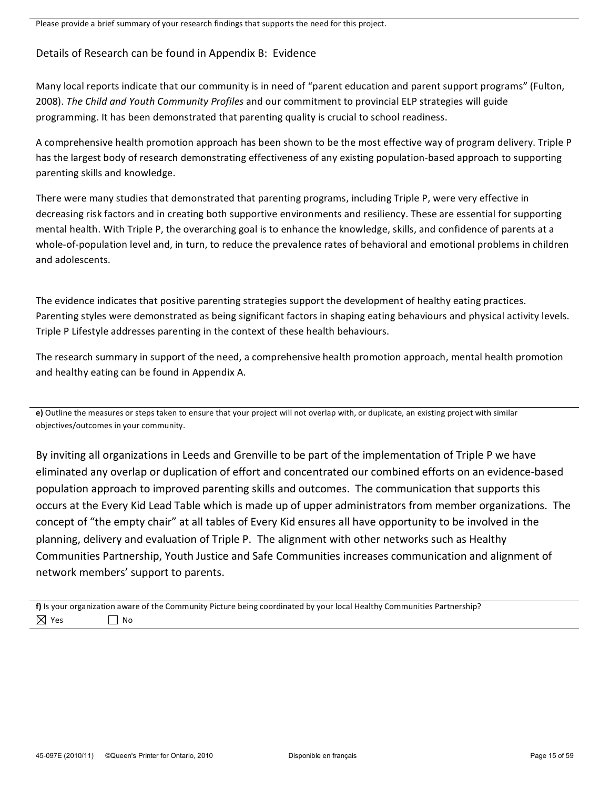Please provide a brief summary of your research findings that supports the need for this project.

# Details of Research can be found in Appendix B: Evidence

Many local reports indicate that our community is in need of "parent education and parent support programs" (Fulton, 2008). The Child and Youth Community Profiles and our commitment to provincial ELP strategies will guide programming. It has been demonstrated that parenting quality is crucial to school readiness.

A comprehensive health promotion approach has been shown to be the most effective way of program delivery. Triple P has the largest body of research demonstrating effectiveness of any existing population-based approach to supporting parenting skills and knowledge.

There were many studies that demonstrated that parenting programs, including Triple P, were very effective in decreasing risk factors and in creating both supportive environments and resiliency. These are essential for supporting mental health. With Triple P, the overarching goal is to enhance the knowledge, skills, and confidence of parents at a whole-of-population level and, in turn, to reduce the prevalence rates of behavioral and emotional problems in children and adolescents.

The evidence indicates that positive parenting strategies support the development of healthy eating practices. Parenting styles were demonstrated as being significant factors in shaping eating behaviours and physical activity levels. Triple P Lifestyle addresses parenting in the context of these health behaviours.

The research summary in support of the need, a comprehensive health promotion approach, mental health promotion and healthy eating can be found in Appendix A.

**e)** Outline the measures or steps taken to ensure that your project will not overlap with, or duplicate, an existing project with similar objectives/outcomes in your community.

By inviting all organizations in Leeds and Grenville to be part of the implementation of Triple P we have eliminated any overlap or duplication of effort and concentrated our combined efforts on an evidence-based population approach to improved parenting skills and outcomes. The communication that supports this occurs at the Every Kid Lead Table which is made up of upper administrators from member organizations. The concept of "the empty chair" at all tables of Every Kid ensures all have opportunity to be involved in the planning, delivery and evaluation of Triple P. The alignment with other networks such as Healthy Communities Partnership, Youth Justice and Safe Communities increases communication and alignment of network members' support to parents.

f) Is your organization aware of the Community Picture being coordinated by your local Healthy Communities Partnership?  $\boxtimes$  Yes  $\Box$  No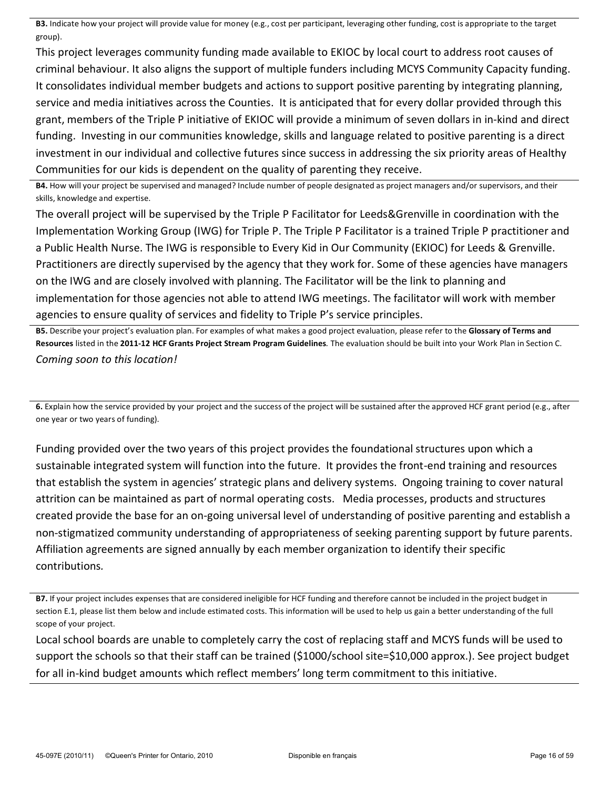**B3.** Indicate how your project will provide value for money (e.g., cost per participant, leveraging other funding, cost is appropriate to the target group).

This project leverages community funding made available to EKIOC by local court to address root causes of criminal behaviour. It also aligns the support of multiple funders including MCYS Community Capacity funding. It consolidates individual member budgets and actions to support positive parenting by integrating planning, service and media initiatives across the Counties. It is anticipated that for every dollar provided through this grant, members of the Triple P initiative of EKIOC will provide a minimum of seven dollars in in-kind and direct funding. Investing in our communities knowledge, skills and language related to positive parenting is a direct investment in our individual and collective futures since success in addressing the six priority areas of Healthy Communities for our kids is dependent on the quality of parenting they receive.

B4. How will your project be supervised and managed? Include number of people designated as project managers and/or supervisors, and their skills, knowledge and expertise.

The overall project will be supervised by the Triple P Facilitator for Leeds&Grenville in coordination with the Implementation Working Group (IWG) for Triple P. The Triple P Facilitator is a trained Triple P practitioner and a Public Health Nurse. The IWG is responsible to Every Kid in Our Community (EKIOC) for Leeds & Grenville. Practitioners are directly supervised by the agency that they work for. Some of these agencies have managers on the IWG and are closely involved with planning. The Facilitator will be the link to planning and implementation for those agencies not able to attend IWG meetings. The facilitator will work with member agencies to ensure quality of services and fidelity to Triple P's service principles.

B5. Describe your project's evaluation plan. For examples of what makes a good project evaluation, please refer to the Glossary of Terms and Resources listed in the 2011-12 HCF Grants Project Stream Program Guidelines. The evaluation should be built into your Work Plan in Section C. *Coming soon to this location!* 

6. Explain how the service provided by your project and the success of the project will be sustained after the approved HCF grant period (e.g., after one year or two years of funding).

Funding provided over the two years of this project provides the foundational structures upon which a sustainable integrated system will function into the future. It provides the front-end training and resources that establish the system in agencies' strategic plans and delivery systems. Ongoing training to cover natural attrition can be maintained as part of normal operating costs. Media processes, products and structures created provide the base for an on-going universal level of understanding of positive parenting and establish a non-stigmatized community understanding of appropriateness of seeking parenting support by future parents. Affiliation agreements are signed annually by each member organization to identify their specific contributions*.!*

Local school boards are unable to completely carry the cost of replacing staff and MCYS funds will be used to support the schools so that their staff can be trained (\$1000/school site=\$10,000 approx.). See project budget for all in-kind budget amounts which reflect members' long term commitment to this initiative.

B7. If your project includes expenses that are considered ineligible for HCF funding and therefore cannot be included in the project budget in section E.1, please list them below and include estimated costs. This information will be used to help us gain a better understanding of the full scope of your project.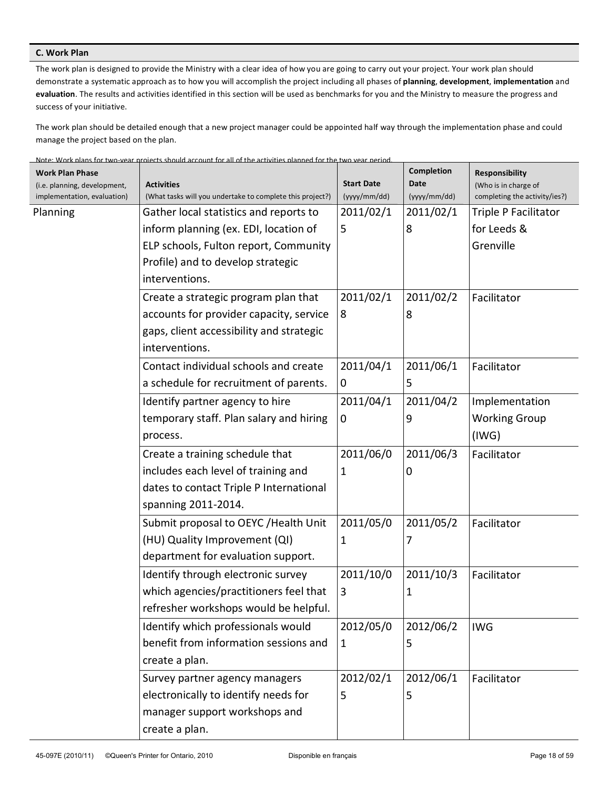# **C.** Work Plan

The work plan is designed to provide the Ministry with a clear idea of how you are going to carry out your project. Your work plan should demonstrate a systematic approach as to how you will accomplish the project including all phases of planning, development, implementation and evaluation. The results and activities identified in this section will be used as benchmarks for you and the Ministry to measure the progress and success of your initiative.

The work plan should be detailed enough that a new project manager could be appointed half way through the implementation phase and could manage the project based on the plan.

| Note: Work plans for two-year projects should account for all of the activities planned for the two year period. |  |
|------------------------------------------------------------------------------------------------------------------|--|
|                                                                                                                  |  |

| <b>Work Plan Phase</b><br>(i.e. planning, development,<br>implementation, evaluation) | <b>Activities</b><br>(What tasks will you undertake to complete this project?) | <b>Start Date</b><br>(yyyy/mm/dd) | Completion<br>Date<br>(yyyy/mm/dd) | Responsibility<br>(Who is in charge of<br>completing the activity/ies?) |
|---------------------------------------------------------------------------------------|--------------------------------------------------------------------------------|-----------------------------------|------------------------------------|-------------------------------------------------------------------------|
| Planning                                                                              | Gather local statistics and reports to                                         | 2011/02/1                         | 2011/02/1                          | Triple P Facilitator                                                    |
|                                                                                       | inform planning (ex. EDI, location of                                          | 5                                 | 8                                  | for Leeds &                                                             |
|                                                                                       | ELP schools, Fulton report, Community                                          |                                   |                                    | Grenville                                                               |
|                                                                                       | Profile) and to develop strategic                                              |                                   |                                    |                                                                         |
|                                                                                       | interventions.                                                                 |                                   |                                    |                                                                         |
|                                                                                       | Create a strategic program plan that                                           | 2011/02/1                         | 2011/02/2                          | Facilitator                                                             |
|                                                                                       | accounts for provider capacity, service                                        | 8                                 | 8                                  |                                                                         |
|                                                                                       | gaps, client accessibility and strategic                                       |                                   |                                    |                                                                         |
|                                                                                       | interventions.                                                                 |                                   |                                    |                                                                         |
|                                                                                       | Contact individual schools and create                                          | 2011/04/1                         | 2011/06/1                          | Facilitator                                                             |
|                                                                                       | a schedule for recruitment of parents.                                         | $\mathbf 0$                       | 5                                  |                                                                         |
|                                                                                       | Identify partner agency to hire                                                | 2011/04/1                         | 2011/04/2                          | Implementation                                                          |
|                                                                                       | temporary staff. Plan salary and hiring                                        | $\mathbf 0$                       | 9                                  | <b>Working Group</b>                                                    |
|                                                                                       | process.                                                                       |                                   |                                    | (IWG)                                                                   |
|                                                                                       | Create a training schedule that                                                | 2011/06/0                         | 2011/06/3                          | Facilitator                                                             |
|                                                                                       | includes each level of training and                                            | 1                                 | 0                                  |                                                                         |
|                                                                                       | dates to contact Triple P International                                        |                                   |                                    |                                                                         |
|                                                                                       | spanning 2011-2014.                                                            |                                   |                                    |                                                                         |
|                                                                                       | Submit proposal to OEYC / Health Unit                                          | 2011/05/0                         | 2011/05/2                          | Facilitator                                                             |
|                                                                                       | (HU) Quality Improvement (QI)                                                  | 1                                 | 7                                  |                                                                         |
|                                                                                       | department for evaluation support.                                             |                                   |                                    |                                                                         |
|                                                                                       | Identify through electronic survey                                             | 2011/10/0                         | 2011/10/3                          | Facilitator                                                             |
|                                                                                       | which agencies/practitioners feel that                                         | 3                                 | 1                                  |                                                                         |
|                                                                                       | refresher workshops would be helpful.                                          |                                   |                                    |                                                                         |
|                                                                                       | Identify which professionals would                                             | 2012/05/0                         | 2012/06/2                          | <b>IWG</b>                                                              |
|                                                                                       | benefit from information sessions and                                          | $\mathbf{1}$                      | 5                                  |                                                                         |
|                                                                                       | create a plan.                                                                 |                                   |                                    |                                                                         |
|                                                                                       | Survey partner agency managers                                                 | 2012/02/1                         | 2012/06/1                          | Facilitator                                                             |
|                                                                                       | electronically to identify needs for                                           | 5                                 | 5                                  |                                                                         |
|                                                                                       | manager support workshops and                                                  |                                   |                                    |                                                                         |
|                                                                                       | create a plan.                                                                 |                                   |                                    |                                                                         |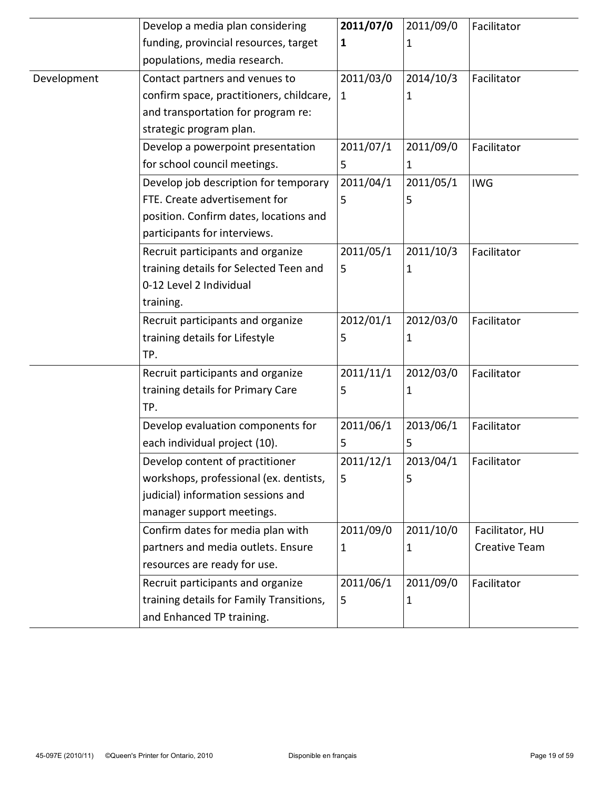|             | Develop a media plan considering                         | 2011/07/0    | 2011/09/0    | Facilitator     |
|-------------|----------------------------------------------------------|--------------|--------------|-----------------|
|             | funding, provincial resources, target                    | 1            | 1            |                 |
|             | populations, media research.                             |              |              |                 |
| Development | Contact partners and venues to                           | 2011/03/0    | 2014/10/3    | Facilitator     |
|             | confirm space, practitioners, childcare, $\vert 1 \vert$ |              | 1            |                 |
|             | and transportation for program re:                       |              |              |                 |
|             | strategic program plan.                                  |              |              |                 |
|             | Develop a powerpoint presentation                        | 2011/07/1    | 2011/09/0    | Facilitator     |
|             | for school council meetings.                             | 5            | $\mathbf{1}$ |                 |
|             | Develop job description for temporary                    | 2011/04/1    | 2011/05/1    | <b>IWG</b>      |
|             | FTE. Create advertisement for                            | 5            | 5            |                 |
|             | position. Confirm dates, locations and                   |              |              |                 |
|             | participants for interviews.                             |              |              |                 |
|             | Recruit participants and organize                        | 2011/05/1    | 2011/10/3    | Facilitator     |
|             | training details for Selected Teen and                   | 5            | 1            |                 |
|             | 0-12 Level 2 Individual                                  |              |              |                 |
|             | training.                                                |              |              |                 |
|             | Recruit participants and organize                        | 2012/01/1    | 2012/03/0    | Facilitator     |
|             | training details for Lifestyle                           | 5            | 1            |                 |
|             | TP.                                                      |              |              |                 |
|             | Recruit participants and organize                        | 2011/11/1    | 2012/03/0    | Facilitator     |
|             | training details for Primary Care                        | 5            | 1            |                 |
|             | TP.                                                      |              |              |                 |
|             | Develop evaluation components for                        | 2011/06/1    | 2013/06/1    | Facilitator     |
|             | each individual project (10).                            | 5            | 5            |                 |
|             | Develop content of practitioner                          | 2011/12/1    | 2013/04/1    | Facilitator     |
|             | workshops, professional (ex. dentists,                   | 5            | 5            |                 |
|             | judicial) information sessions and                       |              |              |                 |
|             | manager support meetings.                                |              |              |                 |
|             | Confirm dates for media plan with                        | 2011/09/0    | 2011/10/0    | Facilitator, HU |
|             | partners and media outlets. Ensure                       | $\mathbf{1}$ | 1            | Creative Team   |
|             | resources are ready for use.                             |              |              |                 |
|             | Recruit participants and organize                        | 2011/06/1    | 2011/09/0    | Facilitator     |
|             | training details for Family Transitions,                 | 5            | 1            |                 |
|             | and Enhanced TP training.                                |              |              |                 |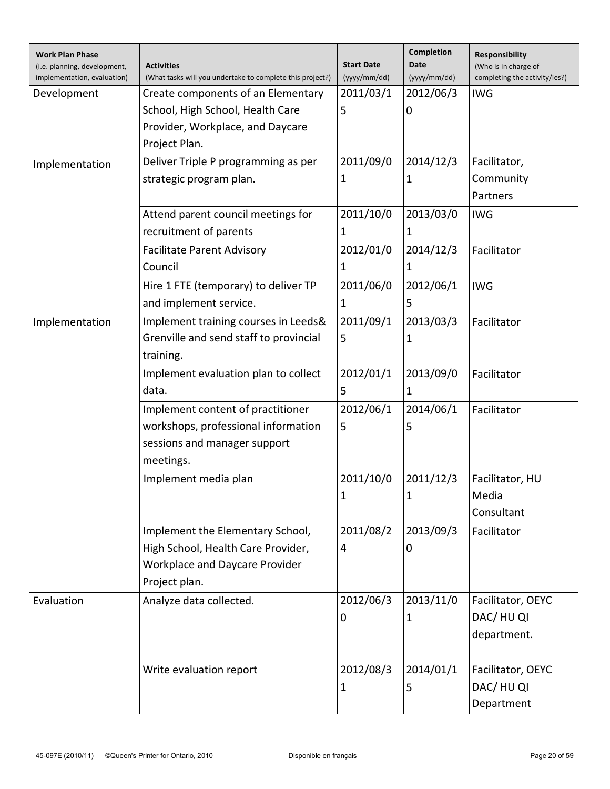| <b>Work Plan Phase</b><br>(i.e. planning, development,<br>implementation, evaluation) | <b>Activities</b><br>(What tasks will you undertake to complete this project?) | <b>Start Date</b><br>(yyyy/mm/dd) | Completion<br>Date<br>(yyyy/mm/dd) | Responsibility<br>(Who is in charge of<br>completing the activity/ies?) |
|---------------------------------------------------------------------------------------|--------------------------------------------------------------------------------|-----------------------------------|------------------------------------|-------------------------------------------------------------------------|
| Development                                                                           | Create components of an Elementary                                             | 2011/03/1                         | 2012/06/3                          | <b>IWG</b>                                                              |
|                                                                                       | School, High School, Health Care                                               | 5                                 | 0                                  |                                                                         |
|                                                                                       | Provider, Workplace, and Daycare                                               |                                   |                                    |                                                                         |
|                                                                                       | Project Plan.                                                                  |                                   |                                    |                                                                         |
| Implementation                                                                        | Deliver Triple P programming as per                                            | 2011/09/0                         | 2014/12/3                          | Facilitator,                                                            |
|                                                                                       | strategic program plan.                                                        | 1                                 | 1                                  | Community                                                               |
|                                                                                       |                                                                                |                                   |                                    | Partners                                                                |
|                                                                                       | Attend parent council meetings for                                             | 2011/10/0                         | 2013/03/0                          | <b>IWG</b>                                                              |
|                                                                                       | recruitment of parents                                                         | 1                                 | $\mathbf{1}$                       |                                                                         |
|                                                                                       | <b>Facilitate Parent Advisory</b>                                              | 2012/01/0                         | 2014/12/3                          | Facilitator                                                             |
|                                                                                       | Council                                                                        | 1                                 | 1                                  |                                                                         |
|                                                                                       | Hire 1 FTE (temporary) to deliver TP                                           | 2011/06/0                         | 2012/06/1                          | <b>IWG</b>                                                              |
|                                                                                       | and implement service.                                                         | 1                                 | 5                                  |                                                                         |
| Implementation                                                                        | Implement training courses in Leeds&                                           | 2011/09/1                         | 2013/03/3                          | Facilitator                                                             |
|                                                                                       | Grenville and send staff to provincial                                         | 5                                 | 1                                  |                                                                         |
|                                                                                       | training.                                                                      |                                   |                                    |                                                                         |
|                                                                                       | Implement evaluation plan to collect                                           | 2012/01/1                         | 2013/09/0                          | Facilitator                                                             |
|                                                                                       | data.                                                                          | 5                                 | 1                                  |                                                                         |
|                                                                                       | Implement content of practitioner                                              | 2012/06/1                         | 2014/06/1                          | Facilitator                                                             |
|                                                                                       | workshops, professional information                                            | 5                                 | 5                                  |                                                                         |
|                                                                                       | sessions and manager support                                                   |                                   |                                    |                                                                         |
|                                                                                       | meetings.                                                                      |                                   |                                    |                                                                         |
|                                                                                       | Implement media plan                                                           | 2011/10/0                         | 2011/12/3                          | Facilitator, HU                                                         |
|                                                                                       |                                                                                | $\mathbf{1}$                      | $\mathbf{1}$                       | Media                                                                   |
|                                                                                       |                                                                                |                                   |                                    | Consultant                                                              |
|                                                                                       | Implement the Elementary School,                                               | 2011/08/2                         | 2013/09/3                          | Facilitator                                                             |
|                                                                                       | High School, Health Care Provider,                                             | 4                                 | 0                                  |                                                                         |
|                                                                                       | Workplace and Daycare Provider                                                 |                                   |                                    |                                                                         |
|                                                                                       | Project plan.                                                                  |                                   |                                    |                                                                         |
| Evaluation                                                                            | Analyze data collected.                                                        | 2012/06/3                         | 2013/11/0                          | Facilitator, OEYC                                                       |
|                                                                                       |                                                                                | 0                                 | 1                                  | DAC/HU QI                                                               |
|                                                                                       |                                                                                |                                   |                                    | department.                                                             |
|                                                                                       |                                                                                |                                   |                                    |                                                                         |
|                                                                                       | Write evaluation report                                                        | 2012/08/3                         | 2014/01/1                          | Facilitator, OEYC                                                       |
|                                                                                       |                                                                                | $\mathbf{1}$                      | 5                                  | DAC/HU QI                                                               |
|                                                                                       |                                                                                |                                   |                                    | Department                                                              |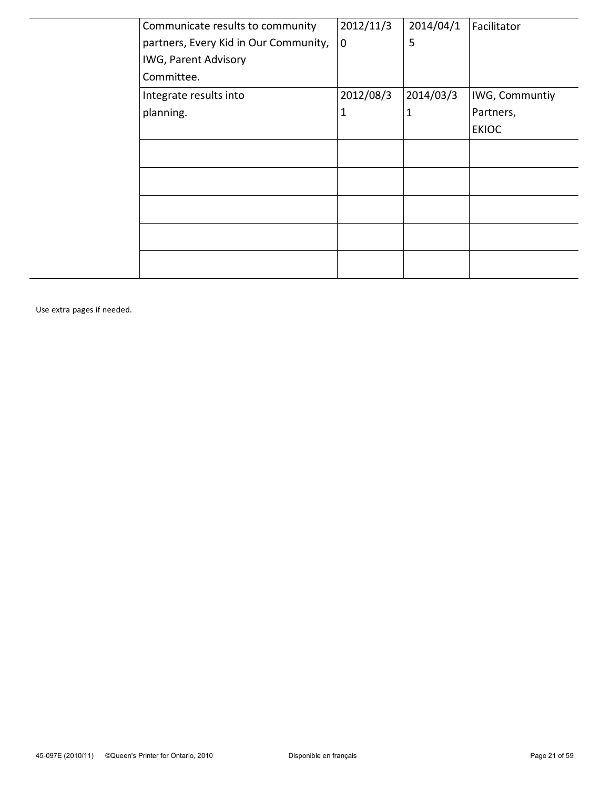| Communicate results to community      | 2012/11/3   | 2014/04/1    | Facilitator    |
|---------------------------------------|-------------|--------------|----------------|
| partners, Every Kid in Our Community, | $\mathbf 0$ | 5            |                |
| <b>IWG, Parent Advisory</b>           |             |              |                |
| Committee.                            |             |              |                |
| Integrate results into                | 2012/08/3   | 2014/03/3    | IWG, Communtiy |
| planning.                             | 1           | $\mathbf{1}$ | Partners,      |
|                                       |             |              | <b>EKIOC</b>   |
|                                       |             |              |                |
|                                       |             |              |                |
|                                       |             |              |                |
|                                       |             |              |                |
|                                       |             |              |                |
|                                       |             |              |                |

Use extra pages if needed.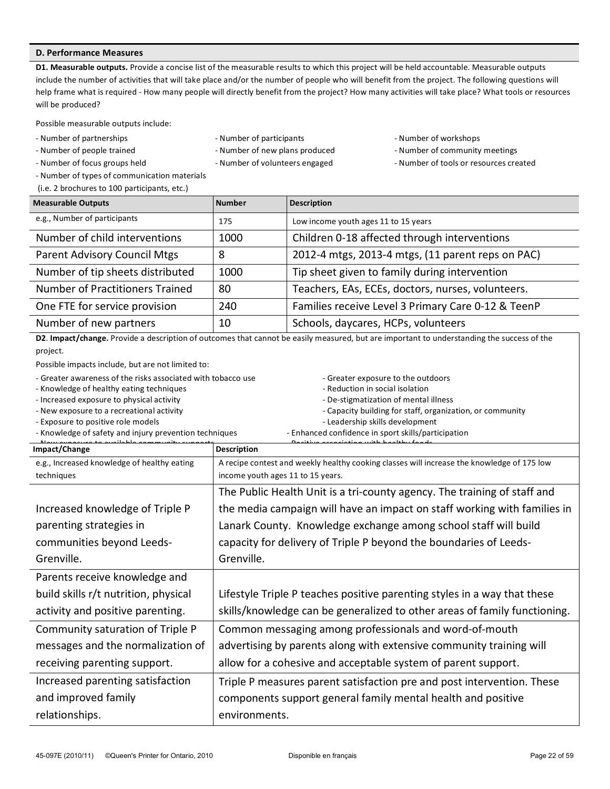# **D. Performance Measures**

D1. Measurable outputs. Provide a concise list of the measurable results to which this project will be held accountable. Measurable outputs include the number of activities that will take place and/or the number of people who will benefit from the project. The following questions will help frame what is required - How many people will directly benefit from the project? How many activities will take place? What tools or resources will be produced?

Possible measurable outputs include:

- 
- 
- 
- Number of types of communication materials
- (i.e. 2 brochures to 100 participants, etc.)
- Number of partnerships **Rightson Community Community** R Number of participants **Rightson Community Community** Pumber of workshops
	-
	-
- 
- Number of people trained The R Number of new plans produced a Number of community meetings
- Number of focus groups held **Research 2000** Number of volunteers engaged **Research 2000** Number of tools or resources created

| <b>Measurable Outputs</b>        | <b>Number</b> | <b>Description</b>                                 |
|----------------------------------|---------------|----------------------------------------------------|
| e.g., Number of participants     | 175           | Low income youth ages 11 to 15 years               |
| Number of child interventions    | 1000          | Children 0-18 affected through interventions       |
| Parent Advisory Council Mtgs     | 8             | 2012-4 mtgs, 2013-4 mtgs, (11 parent reps on PAC)  |
| Number of tip sheets distributed | 1000          | Tip sheet given to family during intervention      |
| Number of Practitioners Trained  | 80            | Teachers, EAs, ECEs, doctors, nurses, volunteers.  |
| One FTE for service provision    | 240           | Families receive Level 3 Primary Care 0-12 & TeenP |
| Number of new partners           | 10            | Schools, daycares, HCPs, volunteers                |
|                                  |               |                                                    |

D2. Impact/change. Provide a description of outcomes that cannot be easily measured, but are important to understanding the success of the project.

Possible impacts include, but are not limited to:

- Greater awareness of the risks associated with tobacco use The Greater exposure to the outdoors

- Knowledge of healthy eating techniques **Reduction** in social isolation in social isolation

- Increased exposure to physical activity **Research activity Research Activity** Activity Activity Activity Activity Activity Activity Activity Activity Activity Activity Activity Activity Activity Activity Activity Activit

- 
- Exposure to positive role models **Rights and Community School and Leadership** skills development
- Knowledge of safety and injury prevention techniques **Rimanced confidence in sport skills/participation**

- 
- New exposure to a recreational activity **Report Capacity Activity** Capacity building for staff, organization, or community
	-

| $11 - 111 =$                                | Docitive pesociation with boolthy foods                                                    |
|---------------------------------------------|--------------------------------------------------------------------------------------------|
| Impact/Change                               | <b>Description</b>                                                                         |
| e.g., Increased knowledge of healthy eating | A recipe contest and weekly healthy cooking classes will increase the knowledge of 175 low |
| techniques                                  | income youth ages 11 to 15 years.                                                          |
|                                             | The Public Health Unit is a tri-county agency. The training of staff and                   |
| Increased knowledge of Triple P             | the media campaign will have an impact on staff working with families in                   |
| parenting strategies in                     | Lanark County. Knowledge exchange among school staff will build                            |
| communities beyond Leeds-                   | capacity for delivery of Triple P beyond the boundaries of Leeds-                          |
| Grenville.                                  | Grenville.                                                                                 |
| Parents receive knowledge and               |                                                                                            |
| build skills r/t nutrition, physical        | Lifestyle Triple P teaches positive parenting styles in a way that these                   |
| activity and positive parenting.            | skills/knowledge can be generalized to other areas of family functioning.                  |
| Community saturation of Triple P            | Common messaging among professionals and word-of-mouth                                     |
| messages and the normalization of           | advertising by parents along with extensive community training will                        |
| receiving parenting support.                | allow for a cohesive and acceptable system of parent support.                              |
| Increased parenting satisfaction            | Triple P measures parent satisfaction pre and post intervention. These                     |
| and improved family                         | components support general family mental health and positive                               |
| relationships.                              | environments.                                                                              |
|                                             |                                                                                            |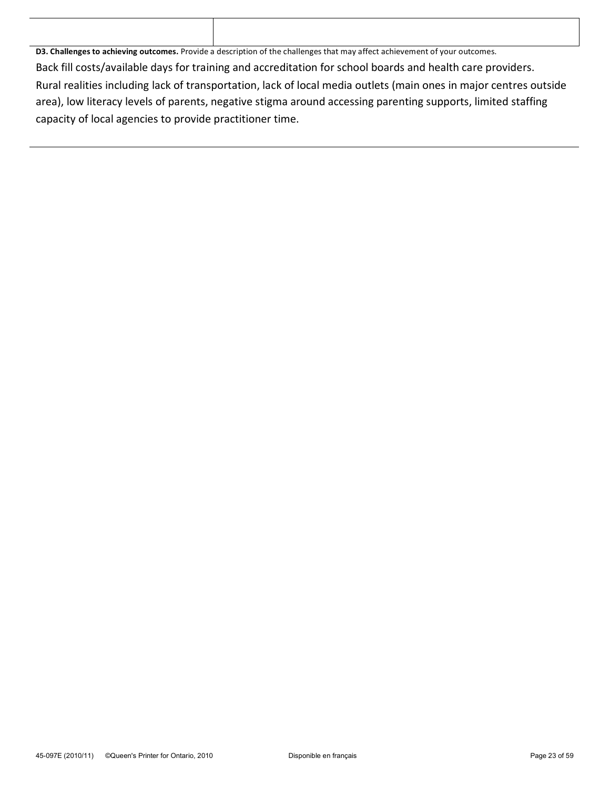| D3. Challenges to achieving outcomes. Provide a description of the challenges that may affect achievement of your outcomes. |
|-----------------------------------------------------------------------------------------------------------------------------|
| Back fill costs/available days for training and accreditation for school boards and health care providers.                  |
| Rural realities including lack of transportation, lack of local media outlets (main ones in major centres outside           |
| area), low literacy levels of parents, negative stigma around accessing parenting supports, limited staffing                |
| capacity of local agencies to provide practitioner time.                                                                    |